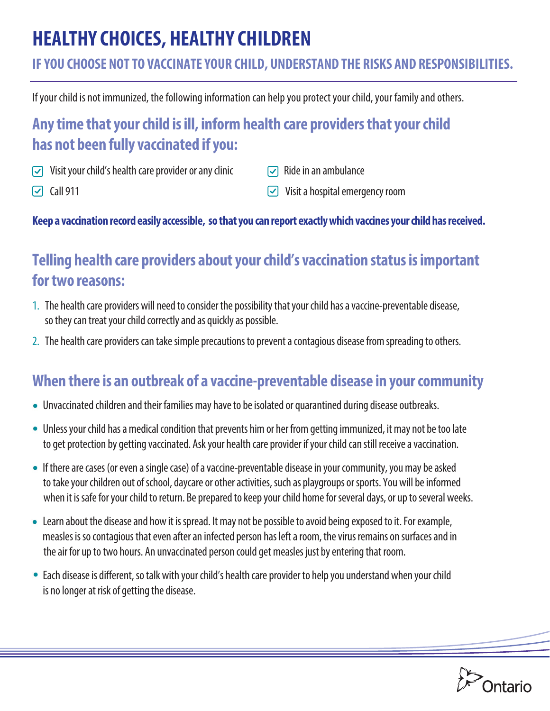# **HEALTHY CHOICES, HEALTHY CHILDREN**

### **IF YOU CHOOSE NOT TO VACCINATE YOUR CHILD, UNDERSTAND THE RISKS AND RESPONSIBILITIES.**

If your child is not immunized, the following information can help you protect your child, your family and others.

# **Any time that your child is ill, inform health care providers that your child has not been fully vaccinated if you:**

- $\triangledown$  Visit your child's health care provider or any clinic
- $\triangleright$  Ride in an ambulance

 $\Box$  Call 911

 $\sqrt{\phantom{a}}$  Visit a hospital emergency room

#### **Keep a vaccination record easily accessible, so that you can report exactly which vaccines your child has received.**

## **Telling health care providers about your child's vaccination status is important for two reasons:**

- 1. The health care providers will need to consider the possibility that your child has a vaccine-preventable disease, so they can treat your child correctly and as quickly as possible.
- 2. The health care providers can take simple precautions to prevent a contagious disease from spreading to others.

## **When there is an outbreak of a vaccine-preventable disease in your community**

- Unvaccinated children and their families may have to be isolated or quarantined during disease outbreaks.
- Unless your child has a medical condition that prevents him or her from getting immunized, it may not be too late to get protection by getting vaccinated. Ask your health care provider if your child can still receive a vaccination.
- If there are cases (or even a single case) of a vaccine-preventable disease in your community, you may be asked to take your children out of school, daycare or other activities, such as playgroups or sports. You will be informed when it is safe for your child to return. Be prepared to keep your child home for several days, or up to several weeks.
- Learn about the disease and how it is spread. It may not be possible to avoid being exposed to it. For example, measles is so contagious that even after an infected person has left a room, the virus remains on surfaces and in the air for up to two hours. An unvaccinated person could get measles just by entering that room.
- Each disease is different, so talk with your child's health care provider to help you understand when your child is no longer at risk of getting the disease.

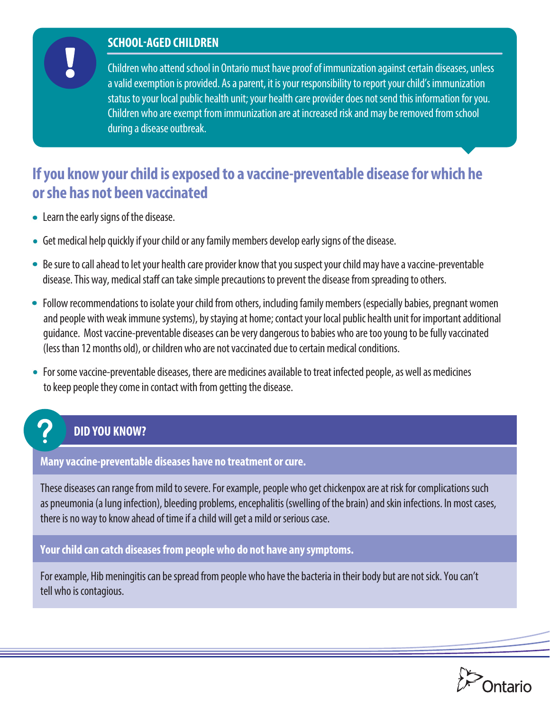#### **SCHOOL-AGED CHILDREN**

Children who attend school in Ontario must have proof of immunization against certain diseases, unless a valid exemption is provided. As a parent, it is your responsibility to report your child's immunization status to your local public health unit; your health care provider does not send this information for you. Children who are exempt from immunization are at increased risk and may be removed from school during a disease outbreak.

### **If you know your child is exposed to a vaccine-preventable disease for which he or she has not been vaccinated**

- Learn the early signs of the disease.
- Get medical help quickly if your child or any family members develop early signs of the disease.
- Be sure to call ahead to let your health care provider know that you suspect your child may have a vaccine-preventable disease. This way, medical staff can take simple precautions to prevent the disease from spreading to others.
- Follow recommendations to isolate your child from others, including family members (especially babies, pregnant women and peoplewith weak immune systems), by staying at home; contact your local public health unit for important additional guidance. Most vaccine-preventable diseases can be very dangerous to babies who are too young to be fully vaccinated (less than 12 months old), or children who are not vaccinated due to certain medical conditions.
- For some vaccine-preventable diseases, there are medicines available to treat infected people, as well as medicines to keep people they come in contact with from getting the disease.

#### **DID YOU KNOW?**

#### **Many vaccine-preventable diseases have no treatment or cure.**

These diseases can range from mild to severe. For example, people who get chickenpox are at risk for complications such as pneumonia (a lung infection), bleeding problems, encephalitis (swelling of the brain) and skin infections. In most cases, there is no way to know ahead of time if a child will get a mild or serious case.

**Your child can catch diseases from people who do not have any symptoms.** 

For example, Hib meningitis can be spread from people who have the bacteria in their body but are not sick. You can't tell who is contagious.